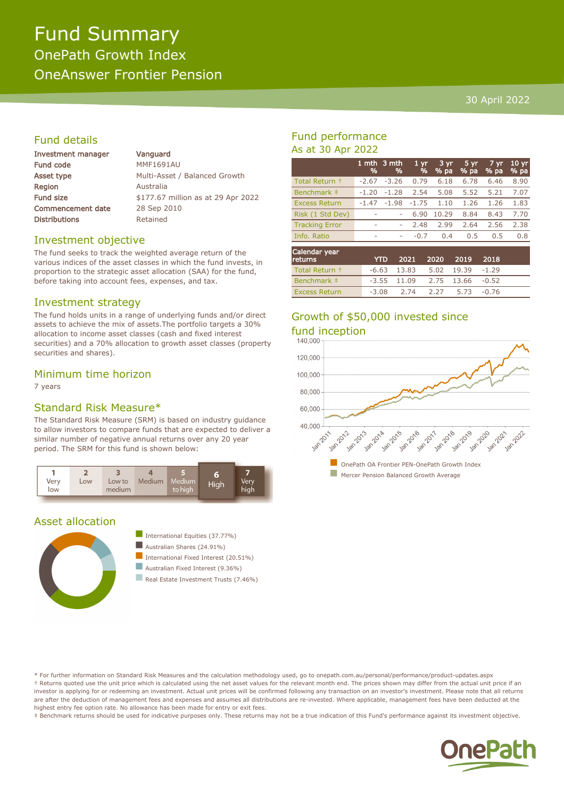# Fund Summary OnePath Growth Index OneAnswer Frontier Pension

#### 30 April 2022

# Fund details

| <b>Investment manager</b> | Vanguard                           |  |  |  |  |
|---------------------------|------------------------------------|--|--|--|--|
| <b>Fund code</b>          | <b>MMF1691AU</b>                   |  |  |  |  |
| Asset type                | Multi-Asset / Balanced Growth      |  |  |  |  |
| <b>Region</b>             | Australia                          |  |  |  |  |
| Fund size                 | \$177.67 million as at 29 Apr 2022 |  |  |  |  |
| <b>Commencement date</b>  | 28 Sep 2010                        |  |  |  |  |
| <b>Distributions</b>      | Retained                           |  |  |  |  |
|                           |                                    |  |  |  |  |

#### Investment objective

The fund seeks to track the weighted average return of the various indices of the asset classes in which the fund invests, in proportion to the strategic asset allocation (SAA) for the fund, before taking into account fees, expenses, and tax.

#### Investment strategy

The fund holds units in a range of underlying funds and/or direct assets to achieve the mix of assets.The portfolio targets a 30% allocation to income asset classes (cash and fixed interest securities) and a 70% allocation to growth asset classes (property securities and shares).

### Minimum time horizon

7 years

# Standard Risk Measure\*

The Standard Risk Measure (SRM) is based on industry guidance to allow investors to compare funds that are expected to deliver a similar number of negative annual returns over any 20 year period. The SRM for this fund is shown below:



# Asset allocation





Real Estate Investment Trusts (7.46%)

# Fund performance As at 30 Apr 2022

|                       | %       | 1 mth $3$ mth<br>% | 1 <sub>yr</sub><br>% | 3 yr<br>% pa | 5 yr<br>% pa | 7 yr<br>% pa | 10 <sub>yr</sub><br>% pa |
|-----------------------|---------|--------------------|----------------------|--------------|--------------|--------------|--------------------------|
| Total Return +        | $-2.67$ | $-3.26$            | 0.79                 | 6.18         | 6.78         | 6.46         | 8.90                     |
| Benchmark ‡           | $-1.20$ | $-1.28$            | 2.54                 | 5.08         | 5.52         | 5.21         | 7.07                     |
| <b>Excess Return</b>  | $-1.47$ | $-1.98$            | $-1.75$              | 1.10         | 1.26         | 1.26         | 1.83                     |
| Risk (1 Std Dev)      | ۰       | ٠                  | 6.90                 | 10.29        | 8.84         | 8.43         | 7.70                     |
| <b>Tracking Error</b> | ٠       | ۰                  | 2.48                 | 2.99         | 2.64         | 2.56         | 2.38                     |
| Info. Ratio           | ٠       | ۰                  | $-0.7$               | 0.4          | 0.5          | 0.5          | 0.8                      |
| Calendar year         |         |                    |                      |              |              |              |                          |

| $-$<br><b>returns</b> | YTD. | 2021 2020 2019 2018              |  |  |
|-----------------------|------|----------------------------------|--|--|
| Total Return +        |      | $-6.63$ 13.83 5.02 19.39 $-1.29$ |  |  |
| Benchmark #           |      | $-3.55$ 11.09 2.75 13.66 $-0.52$ |  |  |
| <b>Excess Return</b>  |      | $-3.08$ 2.74 2.27 5.73 $-0.76$   |  |  |

# Growth of \$50,000 invested since fund inception



\* For further information on Standard Risk Measures and the calculation methodology used, go to onepath.com.au/personal/performance/product-updates.aspx † Returns quoted use the unit price which is calculated using the net asset values for the relevant month end. The prices shown may differ from the actual unit price if an investor is applying for or redeeming an investment. Actual unit prices will be confirmed following any transaction on an investor's investment. Please note that all returns are after the deduction of management fees and expenses and assumes all distributions are re-invested. Where applicable, management fees have been deducted at the highest entry fee option rate. No allowance has been made for entry or exit fees.

‡ Benchmark returns should be used for indicative purposes only. These returns may not be a true indication of this Fund's performance against its investment objective.